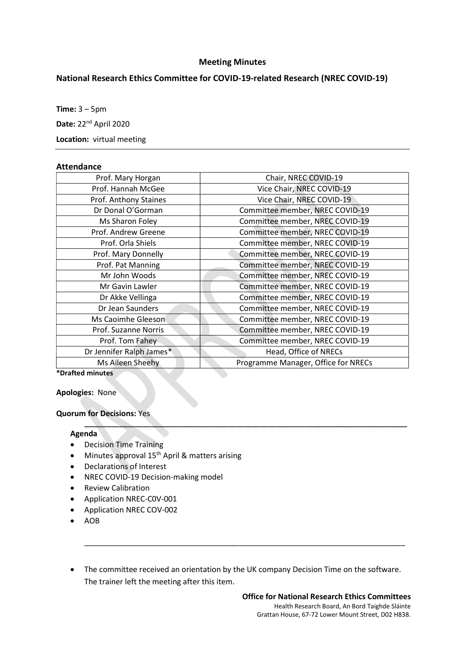# Meeting Minutes

# National Research Ethics Committee for COVID-19-related Research (NREC COVID-19)

Time:  $3 - 5$ pm

Date: 22<sup>nd</sup> April 2020

Location: virtual meeting

#### **Attendance**

| Prof. Mary Horgan        | Chair, NREC COVID-19                |
|--------------------------|-------------------------------------|
| Prof. Hannah McGee       | Vice Chair, NREC COVID-19           |
| Prof. Anthony Staines    | Vice Chair, NREC COVID-19           |
| Dr Donal O'Gorman        | Committee member, NREC COVID-19     |
| Ms Sharon Foley          | Committee member, NREC COVID-19     |
| Prof. Andrew Greene      | Committee member, NREC COVID-19     |
| Prof. Orla Shiels        | Committee member, NREC COVID-19     |
| Prof. Mary Donnelly      | Committee member, NREC COVID-19     |
| Prof. Pat Manning        | Committee member, NREC COVID-19     |
| Mr John Woods            | Committee member, NREC COVID-19     |
| Mr Gavin Lawler          | Committee member, NREC COVID-19     |
| Dr Akke Vellinga         | Committee member, NREC COVID-19     |
| Dr Jean Saunders         | Committee member, NREC COVID-19     |
| Ms Caoimhe Gleeson       | Committee member, NREC COVID-19     |
| Prof. Suzanne Norris     | Committee member, NREC COVID-19     |
| Prof. Tom Fahey          | Committee member, NREC COVID-19     |
| Dr Jennifer Ralph James* | Head, Office of NRECs               |
| Ms Aileen Sheehy         | Programme Manager, Office for NRECs |
| ໋                        |                                     |

 $\mathcal{L} = \{ \mathcal{L} \mid \mathcal{L} \in \mathcal{L} \}$  , where  $\mathcal{L} = \{ \mathcal{L} \mid \mathcal{L} \in \mathcal{L} \}$  , where  $\mathcal{L} = \{ \mathcal{L} \mid \mathcal{L} \in \mathcal{L} \}$ 

\*Drafted minutes

Apologies: None

## Quorum for Decisions: Yes

## Agenda

- Decision Time Training
- Minutes approval 15<sup>th</sup> April & matters arising
- Declarations of Interest
- NREC COVID-19 Decision-making model
- Review Calibration
- Application NREC-C0V-001
- Application NREC COV-002
- $\bullet$  AOB
- The committee received an orientation by the UK company Decision Time on the software. The trainer left the meeting after this item.

\_\_\_\_\_\_\_\_\_\_\_\_\_\_\_\_\_\_\_\_\_\_\_\_\_\_\_\_\_\_\_\_\_\_\_\_\_\_\_\_\_\_\_\_\_\_\_\_\_\_\_\_\_\_\_\_\_\_\_\_\_\_\_\_\_\_\_\_\_\_\_\_\_\_\_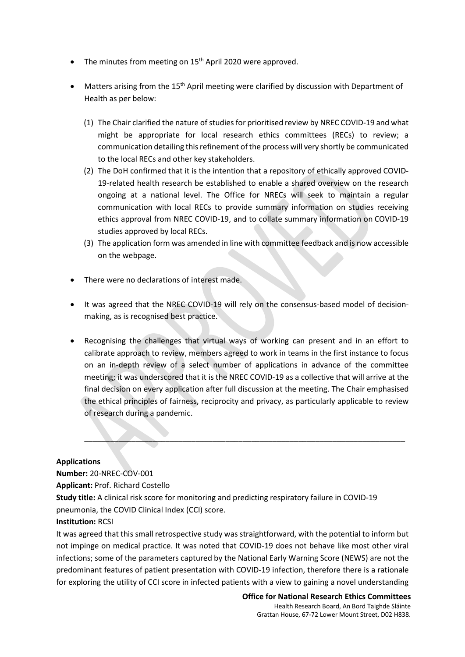- The minutes from meeting on  $15<sup>th</sup>$  April 2020 were approved.
- Matters arising from the 15<sup>th</sup> April meeting were clarified by discussion with Department of Health as per below:
	- (1) The Chair clarified the nature of studies for prioritised review by NREC COVID-19 and what might be appropriate for local research ethics committees (RECs) to review; a communication detailing this refinement of the process will very shortly be communicated to the local RECs and other key stakeholders.
	- (2) The DoH confirmed that it is the intention that a repository of ethically approved COVID-19-related health research be established to enable a shared overview on the research ongoing at a national level. The Office for NRECs will seek to maintain a regular communication with local RECs to provide summary information on studies receiving ethics approval from NREC COVID-19, and to collate summary information on COVID-19 studies approved by local RECs.
	- (3) The application form was amended in line with committee feedback and is now accessible on the webpage.
- There were no declarations of interest made.
- It was agreed that the NREC COVID-19 will rely on the consensus-based model of decisionmaking, as is recognised best practice.
- Recognising the challenges that virtual ways of working can present and in an effort to calibrate approach to review, members agreed to work in teams in the first instance to focus on an in-depth review of a select number of applications in advance of the committee meeting; it was underscored that it is the NREC COVID-19 as a collective that will arrive at the final decision on every application after full discussion at the meeting. The Chair emphasised the ethical principles of fairness, reciprocity and privacy, as particularly applicable to review of research during a pandemic.

\_\_\_\_\_\_\_\_\_\_\_\_\_\_\_\_\_\_\_\_\_\_\_\_\_\_\_\_\_\_\_\_\_\_\_\_\_\_\_\_\_\_\_\_\_\_\_\_\_\_\_\_\_\_\_\_\_\_\_\_\_\_\_\_\_\_\_\_\_\_\_\_\_\_\_

#### Applications

Number: 20-NREC-COV-001

Applicant: Prof. Richard Costello

Study title: A clinical risk score for monitoring and predicting respiratory failure in COVID-19 pneumonia, the COVID Clinical Index (CCI) score.

## Institution: RCSI

It was agreed that this small retrospective study was straightforward, with the potential to inform but not impinge on medical practice. It was noted that COVID-19 does not behave like most other viral infections; some of the parameters captured by the National Early Warning Score (NEWS) are not the predominant features of patient presentation with COVID-19 infection, therefore there is a rationale for exploring the utility of CCI score in infected patients with a view to gaining a novel understanding

> Office for National Research Ethics Committees Health Research Board, An Bord Taighde Sláinte Grattan House, 67-72 Lower Mount Street, D02 H838.